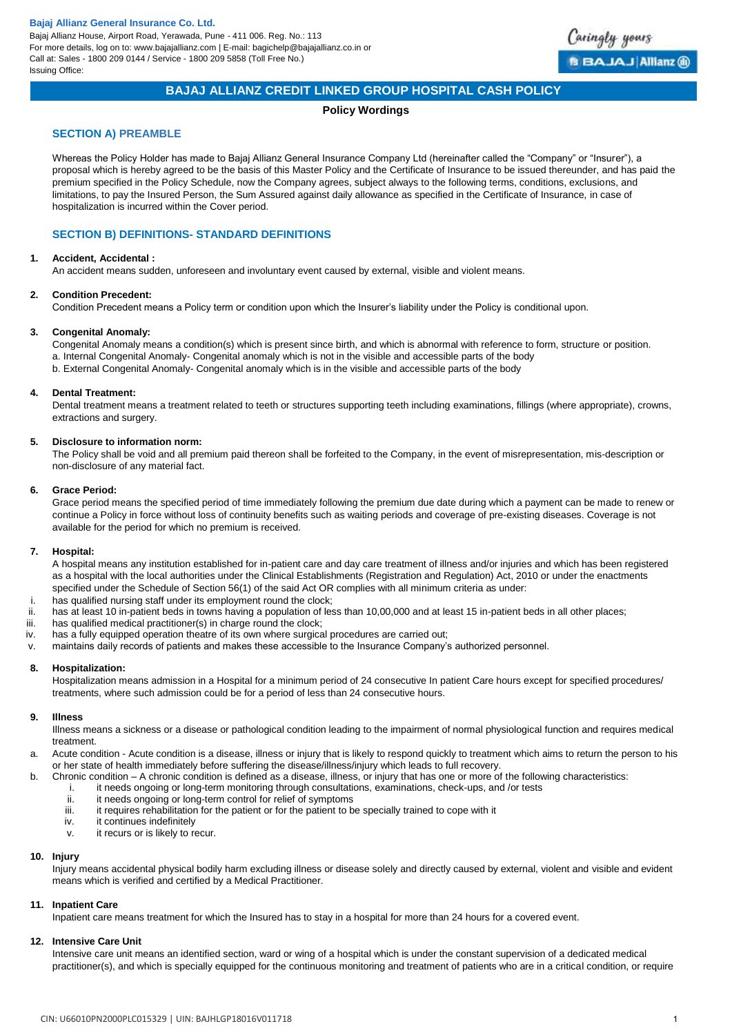Bajaj Allianz House, Airport Road, Yerawada, Pune - 411 006. Reg. No.: 113 For more details, log on to: www.bajajallianz.com | E-mail: bagichelp@bajajallianz.co.in or Call at: Sales - 1800 209 0144 / Service - 1800 209 5858 (Toll Free No.) Issuing Office:



# **BAJAJ ALLIANZ CREDIT LINKED GROUP HOSPITAL CASH POLICY**

## **Policy Wordings**

# **SECTION A) PREAMBLE**

Whereas the Policy Holder has made to Bajaj Allianz General Insurance Company Ltd (hereinafter called the "Company" or "Insurer"), a proposal which is hereby agreed to be the basis of this Master Policy and the Certificate of Insurance to be issued thereunder, and has paid the premium specified in the Policy Schedule, now the Company agrees, subject always to the following terms, conditions, exclusions, and limitations, to pay the Insured Person, the Sum Assured against daily allowance as specified in the Certificate of Insurance, in case of hospitalization is incurred within the Cover period.

# **SECTION B) DEFINITIONS- STANDARD DEFINITIONS**

## **1. Accident, Accidental :**

An accident means sudden, unforeseen and involuntary event caused by external, visible and violent means.

## **2. Condition Precedent:**

Condition Precedent means a Policy term or condition upon which the Insurer's liability under the Policy is conditional upon.

## **3. Congenital Anomaly:**

Congenital Anomaly means a condition(s) which is present since birth, and which is abnormal with reference to form, structure or position. a. Internal Congenital Anomaly- Congenital anomaly which is not in the visible and accessible parts of the body b. External Congenital Anomaly- Congenital anomaly which is in the visible and accessible parts of the body

## **4. Dental Treatment:**

Dental treatment means a treatment related to teeth or structures supporting teeth including examinations, fillings (where appropriate), crowns, extractions and surgery.

## **5. Disclosure to information norm:**

The Policy shall be void and all premium paid thereon shall be forfeited to the Company, in the event of misrepresentation, mis-description or non-disclosure of any material fact.

## **6. Grace Period:**

Grace period means the specified period of time immediately following the premium due date during which a payment can be made to renew or continue a Policy in force without loss of continuity benefits such as waiting periods and coverage of pre-existing diseases. Coverage is not available for the period for which no premium is received.

## **7. Hospital:**

A hospital means any institution established for in-patient care and day care treatment of illness and/or injuries and which has been registered as a hospital with the local authorities under the Clinical Establishments (Registration and Regulation) Act, 2010 or under the enactments specified under the Schedule of Section 56(1) of the said Act OR complies with all minimum criteria as under:

- has qualified nursing staff under its employment round the clock;
- ii. has at least 10 in-patient beds in towns having a population of less than 10,00,000 and at least 15 in-patient beds in all other places;
- iii. has qualified medical practitioner(s) in charge round the clock;
- iv. has a fully equipped operation theatre of its own where surgical procedures are carried out;
- v. maintains daily records of patients and makes these accessible to the Insurance Company's authorized personnel.

#### **8. Hospitalization:**

Hospitalization means admission in a Hospital for a minimum period of 24 consecutive In patient Care hours except for specified procedures/ treatments, where such admission could be for a period of less than 24 consecutive hours.

#### **9. Illness**

Illness means a sickness or a disease or pathological condition leading to the impairment of normal physiological function and requires medical treatment.

- a. Acute condition Acute condition is a disease, illness or injury that is likely to respond quickly to treatment which aims to return the person to his or her state of health immediately before suffering the disease/illness/injury which leads to full recovery.
- b. Chronic condition A chronic condition is defined as a disease, illness, or injury that has one or more of the following characteristics:
	- i. it needs ongoing or long-term monitoring through consultations, examinations, check-ups, and /or tests
	- ii. it needs ongoing or long-term control for relief of symptoms
	- iii. it requires rehabilitation for the patient or for the patient to be specially trained to cope with it iv.
	- it continues indefinitely
	- v. it recurs or is likely to recur.

#### **10. Injury**

Injury means accidental physical bodily harm excluding illness or disease solely and directly caused by external, violent and visible and evident means which is verified and certified by a Medical Practitioner.

## **11. Inpatient Care**

Inpatient care means treatment for which the Insured has to stay in a hospital for more than 24 hours for a covered event.

# **12. Intensive Care Unit**

Intensive care unit means an identified section, ward or wing of a hospital which is under the constant supervision of a dedicated medical practitioner(s), and which is specially equipped for the continuous monitoring and treatment of patients who are in a critical condition, or require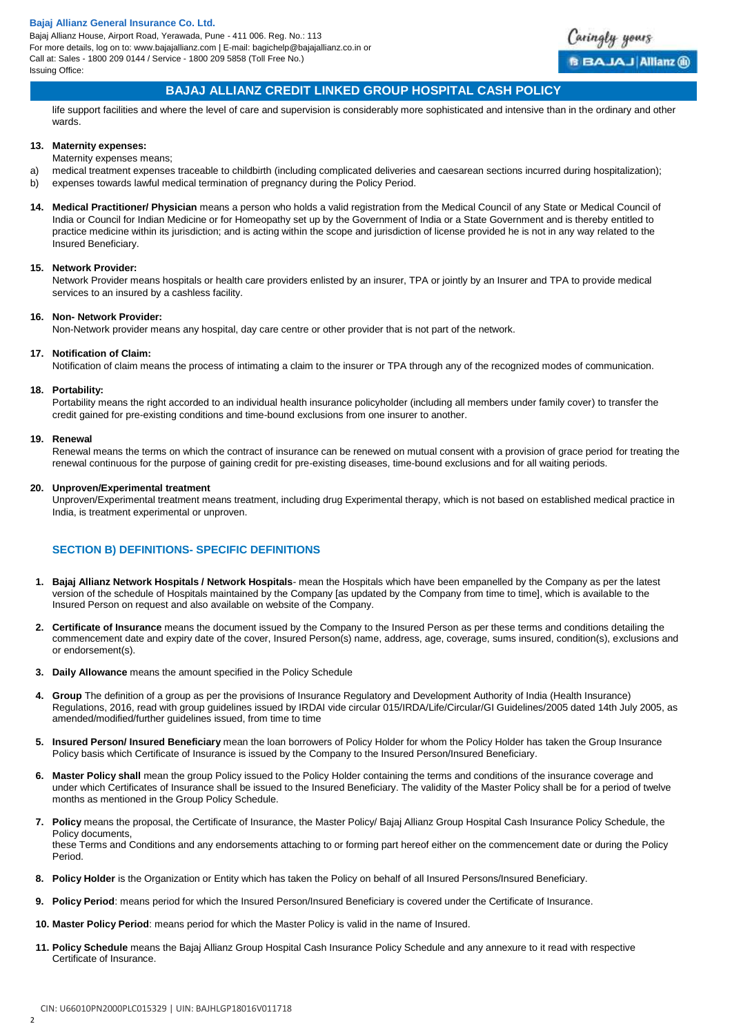Bajaj Allianz House, Airport Road, Yerawada, Pune - 411 006. Reg. No.: 113 For more details, log on to: www.bajajallianz.com | E-mail: bagichelp@bajajallianz.co.in or Call at: Sales - 1800 209 0144 / Service - 1800 209 5858 (Toll Free No.) Issuing Office:



# **BAJAJ ALLIANZ CREDIT LINKED GROUP HOSPITAL CASH POLICY**

life support facilities and where the level of care and supervision is considerably more sophisticated and intensive than in the ordinary and other wards.

#### **13. Maternity expenses:**

- Maternity expenses means;
- a) medical treatment expenses traceable to childbirth (including complicated deliveries and caesarean sections incurred during hospitalization);
- b) expenses towards lawful medical termination of pregnancy during the Policy Period.
- **14. Medical Practitioner/ Physician** means a person who holds a valid registration from the Medical Council of any State or Medical Council of India or Council for Indian Medicine or for Homeopathy set up by the Government of India or a State Government and is thereby entitled to practice medicine within its jurisdiction; and is acting within the scope and jurisdiction of license provided he is not in any way related to the Insured Beneficiary.

#### **15. Network Provider:**

Network Provider means hospitals or health care providers enlisted by an insurer, TPA or jointly by an Insurer and TPA to provide medical services to an insured by a cashless facility.

#### **16. Non- Network Provider:**

Non-Network provider means any hospital, day care centre or other provider that is not part of the network.

#### **17. Notification of Claim:**

Notification of claim means the process of intimating a claim to the insurer or TPA through any of the recognized modes of communication.

### **18. Portability:**

Portability means the right accorded to an individual health insurance policyholder (including all members under family cover) to transfer the credit gained for pre-existing conditions and time-bound exclusions from one insurer to another.

#### **19. Renewal**

Renewal means the terms on which the contract of insurance can be renewed on mutual consent with a provision of grace period for treating the renewal continuous for the purpose of gaining credit for pre-existing diseases, time-bound exclusions and for all waiting periods.

#### **20. Unproven/Experimental treatment**

Unproven/Experimental treatment means treatment, including drug Experimental therapy, which is not based on established medical practice in India, is treatment experimental or unproven.

## **SECTION B) DEFINITIONS- SPECIFIC DEFINITIONS**

- **1. Bajaj Allianz Network Hospitals / Network Hospitals** mean the Hospitals which have been empanelled by the Company as per the latest version of the schedule of Hospitals maintained by the Company [as updated by the Company from time to time], which is available to the Insured Person on request and also available on website of the Company.
- **2. Certificate of Insurance** means the document issued by the Company to the Insured Person as per these terms and conditions detailing the commencement date and expiry date of the cover, Insured Person(s) name, address, age, coverage, sums insured, condition(s), exclusions and or endorsement(s).
- **3. Daily Allowance** means the amount specified in the Policy Schedule
- **4. Group** The definition of a group as per the provisions of Insurance Regulatory and Development Authority of India (Health Insurance) Regulations, 2016, read with group guidelines issued by IRDAI vide circular 015/IRDA/Life/Circular/GI Guidelines/2005 dated 14th July 2005, as amended/modified/further guidelines issued, from time to time
- **5. Insured Person/ Insured Beneficiary** mean the loan borrowers of Policy Holder for whom the Policy Holder has taken the Group Insurance Policy basis which Certificate of Insurance is issued by the Company to the Insured Person/Insured Beneficiary.
- **6. Master Policy shall** mean the group Policy issued to the Policy Holder containing the terms and conditions of the insurance coverage and under which Certificates of Insurance shall be issued to the Insured Beneficiary. The validity of the Master Policy shall be for a period of twelve months as mentioned in the Group Policy Schedule.
- **7. Policy** means the proposal, the Certificate of Insurance, the Master Policy/ Bajaj Allianz Group Hospital Cash Insurance Policy Schedule, the Policy documents, these Terms and Conditions and any endorsements attaching to or forming part hereof either on the commencement date or during the Policy Period.
- **8. Policy Holder** is the Organization or Entity which has taken the Policy on behalf of all Insured Persons/Insured Beneficiary.
- **9. Policy Period**: means period for which the Insured Person/Insured Beneficiary is covered under the Certificate of Insurance.
- **10. Master Policy Period**: means period for which the Master Policy is valid in the name of Insured.
- **11. Policy Schedule** means the Bajaj Allianz Group Hospital Cash Insurance Policy Schedule and any annexure to it read with respective Certificate of Insurance.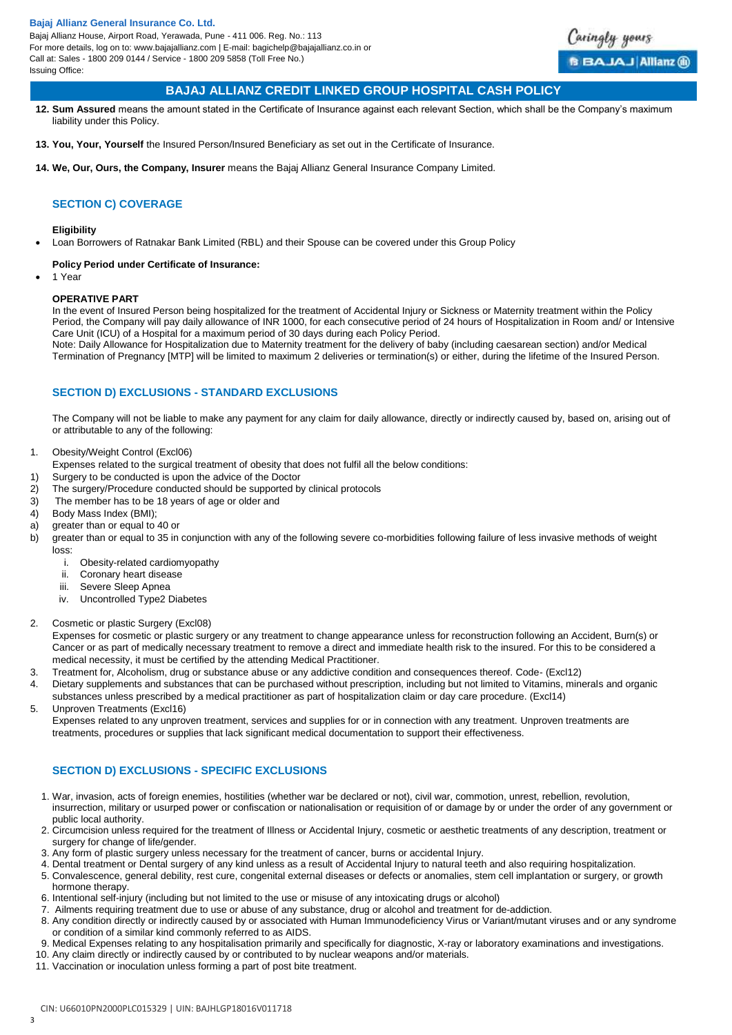Bajaj Allianz House, Airport Road, Yerawada, Pune - 411 006. Reg. No.: 113 For more details, log on to: www.bajajallianz.com | E-mail: bagichelp@bajajallianz.co.in or Call at: Sales - 1800 209 0144 / Service - 1800 209 5858 (Toll Free No.) Issuing Office:



# **BAJAJ ALLIANZ CREDIT LINKED GROUP HOSPITAL CASH POLICY**

- **12. Sum Assured** means the amount stated in the Certificate of Insurance against each relevant Section, which shall be the Company's maximum liability under this Policy.
- **13. You, Your, Yourself** the Insured Person/Insured Beneficiary as set out in the Certificate of Insurance.
- **14. We, Our, Ours, the Company, Insurer** means the Bajaj Allianz General Insurance Company Limited.

# **SECTION C) COVERAGE**

#### **Eligibility**

Loan Borrowers of Ratnakar Bank Limited (RBL) and their Spouse can be covered under this Group Policy

#### **Policy Period under Certificate of Insurance:**

1 Year

#### **OPERATIVE PART**

In the event of Insured Person being hospitalized for the treatment of Accidental Injury or Sickness or Maternity treatment within the Policy Period, the Company will pay daily allowance of INR 1000, for each consecutive period of 24 hours of Hospitalization in Room and/ or Intensive Care Unit (ICU) of a Hospital for a maximum period of 30 days during each Policy Period.

Note: Daily Allowance for Hospitalization due to Maternity treatment for the delivery of baby (including caesarean section) and/or Medical Termination of Pregnancy [MTP] will be limited to maximum 2 deliveries or termination(s) or either, during the lifetime of the Insured Person.

## **SECTION D) EXCLUSIONS - STANDARD EXCLUSIONS**

The Company will not be liable to make any payment for any claim for daily allowance, directly or indirectly caused by, based on, arising out of or attributable to any of the following:

- 1. Obesity/Weight Control (Excl06)
- Expenses related to the surgical treatment of obesity that does not fulfil all the below conditions:
- 1) Surgery to be conducted is upon the advice of the Doctor
- 2) The surgery/Procedure conducted should be supported by clinical protocols
- 3) The member has to be 18 years of age or older and
- 4) Body Mass Index (BMI);
- a) greater than or equal to 40 or
- b) greater than or equal to 35 in conjunction with any of the following severe co-morbidities following failure of less invasive methods of weight loss:
	- i. Obesity-related cardiomyopathy
	- ii. Coronary heart disease
	- iii. Severe Sleep Apnea
	- iv. Uncontrolled Type2 Diabetes
- 2. Cosmetic or plastic Surgery (Excl08)

Expenses for cosmetic or plastic surgery or any treatment to change appearance unless for reconstruction following an Accident, Burn(s) or Cancer or as part of medically necessary treatment to remove a direct and immediate health risk to the insured. For this to be considered a medical necessity, it must be certified by the attending Medical Practitioner.

- 3. Treatment for, Alcoholism, drug or substance abuse or any addictive condition and consequences thereof. Code- (Excl12)
- 4. Dietary supplements and substances that can be purchased without prescription, including but not limited to Vitamins, minerals and organic substances unless prescribed by a medical practitioner as part of hospitalization claim or day care procedure. (Excl14)
- 5. Unproven Treatments (Excl16)
	- Expenses related to any unproven treatment, services and supplies for or in connection with any treatment. Unproven treatments are treatments, procedures or supplies that lack significant medical documentation to support their effectiveness.

# **SECTION D) EXCLUSIONS - SPECIFIC EXCLUSIONS**

- 1. War, invasion, acts of foreign enemies, hostilities (whether war be declared or not), civil war, commotion, unrest, rebellion, revolution, insurrection, military or usurped power or confiscation or nationalisation or requisition of or damage by or under the order of any government or public local authority.
- 2. Circumcision unless required for the treatment of Illness or Accidental Injury, cosmetic or aesthetic treatments of any description, treatment or surgery for change of life/gender.
- 3. Any form of plastic surgery unless necessary for the treatment of cancer, burns or accidental Injury.
- 4. Dental treatment or Dental surgery of any kind unless as a result of Accidental Injury to natural teeth and also requiring hospitalization.
- 5. Convalescence, general debility, rest cure, congenital external diseases or defects or anomalies, stem cell implantation or surgery, or growth hormone therapy.
- 6. Intentional self-injury (including but not limited to the use or misuse of any intoxicating drugs or alcohol)
- 7. Ailments requiring treatment due to use or abuse of any substance, drug or alcohol and treatment for de-addiction.
- 8. Any condition directly or indirectly caused by or associated with Human Immunodeficiency Virus or Variant/mutant viruses and or any syndrome or condition of a similar kind commonly referred to as AIDS.
- 9. Medical Expenses relating to any hospitalisation primarily and specifically for diagnostic, X-ray or laboratory examinations and investigations.
- 10. Any claim directly or indirectly caused by or contributed to by nuclear weapons and/or materials.
- 11. Vaccination or inoculation unless forming a part of post bite treatment.

3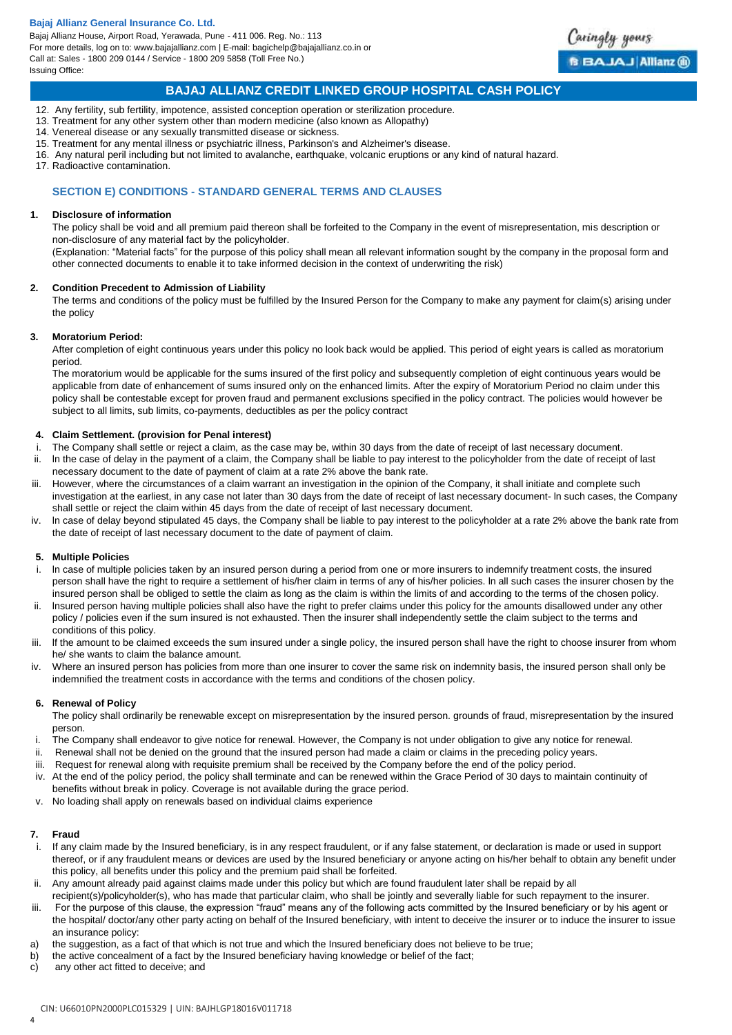Bajaj Allianz House, Airport Road, Yerawada, Pune - 411 006. Reg. No.: 113 For more details, log on to: www.bajajallianz.com | E-mail: bagichelp@bajajallianz.co.in or Call at: Sales - 1800 209 0144 / Service - 1800 209 5858 (Toll Free No.) Issuing Office:



# **BAJAJ ALLIANZ CREDIT LINKED GROUP HOSPITAL CASH POLICY**

- 12. Any fertility, sub fertility, impotence, assisted conception operation or sterilization procedure.
- 13. Treatment for any other system other than modern medicine (also known as Allopathy)
- 14. Venereal disease or any sexually transmitted disease or sickness.
- 15. Treatment for any mental illness or psychiatric illness, Parkinson's and Alzheimer's disease.
- 16. Any natural peril including but not limited to avalanche, earthquake, volcanic eruptions or any kind of natural hazard.
- 17. Radioactive contamination.

## **SECTION E) CONDITIONS - STANDARD GENERAL TERMS AND CLAUSES**

#### **1. Disclosure of information**

The policy shall be void and all premium paid thereon shall be forfeited to the Company in the event of misrepresentation, mis description or non-disclosure of any material fact by the policyholder.

(Explanation: "Material facts" for the purpose of this policy shall mean all relevant information sought by the company in the proposal form and other connected documents to enable it to take informed decision in the context of underwriting the risk)

#### **2. Condition Precedent to Admission of Liability**

The terms and conditions of the policy must be fulfilled by the Insured Person for the Company to make any payment for claim(s) arising under the policy

#### **3. Moratorium Period:**

After completion of eight continuous years under this policy no look back would be applied. This period of eight years is called as moratorium period.

The moratorium would be applicable for the sums insured of the first policy and subsequently completion of eight continuous years would be applicable from date of enhancement of sums insured only on the enhanced limits. After the expiry of Moratorium Period no claim under this policy shall be contestable except for proven fraud and permanent exclusions specified in the policy contract. The policies would however be subject to all limits, sub limits, co-payments, deductibles as per the policy contract

## **4. Claim Settlement. (provision for Penal interest)**

- i. The Company shall settle or reject a claim, as the case may be, within 30 days from the date of receipt of last necessary document.
- ii. ln the case of delay in the payment of a claim, the Company shall be liable to pay interest to the policyholder from the date of receipt of last necessary document to the date of payment of claim at a rate 2% above the bank rate.
- iii. However, where the circumstances of a claim warrant an investigation in the opinion of the Company, it shall initiate and complete such investigation at the earliest, in any case not later than 30 days from the date of receipt of last necessary document- ln such cases, the Company shall settle or reject the claim within 45 days from the date of receipt of last necessary document.
- iv. ln case of delay beyond stipulated 45 days, the Company shall be liable to pay interest to the policyholder at a rate 2% above the bank rate from the date of receipt of last necessary document to the date of payment of claim.

## **5. Multiple Policies**

- i. ln case of multiple policies taken by an insured person during a period from one or more insurers to indemnify treatment costs, the insured person shall have the right to require a settlement of his/her claim in terms of any of his/her policies. ln all such cases the insurer chosen by the insured person shall be obliged to settle the claim as long as the claim is within the limits of and according to the terms of the chosen policy.
- ii. lnsured person having multiple policies shall also have the right to prefer claims under this policy for the amounts disallowed under any other policy / policies even if the sum insured is not exhausted. Then the insurer shall independently settle the claim subject to the terms and conditions of this policy.
- iii. lf the amount to be claimed exceeds the sum insured under a single policy, the insured person shall have the right to choose insurer from whom he/ she wants to claim the balance amount.
- iv. Where an insured person has policies from more than one insurer to cover the same risk on indemnity basis, the insured person shall only be indemnified the treatment costs in accordance with the terms and conditions of the chosen policy.

#### **6. Renewal of Policy**

The policy shall ordinarily be renewable except on misrepresentation by the insured person. grounds of fraud, misrepresentation by the insured person.

- i. The Company shall endeavor to give notice for renewal. However, the Company is not under obligation to give any notice for renewal.
- ii. Renewal shall not be denied on the ground that the insured person had made a claim or claims in the preceding policy years.
- iii. Request for renewal along with requisite premium shall be received by the Company before the end of the policy period.
- iv. At the end of the policy period, the policy shall terminate and can be renewed within the Grace Period of 30 days to maintain continuity of benefits without break in policy. Coverage is not available during the grace period.
- v. No loading shall apply on renewals based on individual claims experience

### **7. Fraud**

 $\lambda$ 

- i. If any claim made by the Insured beneficiary, is in any respect fraudulent, or if any false statement, or declaration is made or used in support thereof, or if any fraudulent means or devices are used by the Insured beneficiary or anyone acting on his/her behalf to obtain any benefit under this policy, all benefits under this policy and the premium paid shall be forfeited.
- ii. Any amount already paid against claims made under this policy but which are found fraudulent later shall be repaid by all recipient(s)/policyholder(s), who has made that particular claim, who shall be jointly and severally liable for such repayment to the insurer.
- iii. For the purpose of this clause, the expression "fraud" means any of the following acts committed by the Insured beneficiary or by his agent or the hospital/ doctor/any other party acting on behalf of the Insured beneficiary, with intent to deceive the insurer or to induce the insurer to issue an insurance policy:
- a) the suggestion, as a fact of that which is not true and which the Insured beneficiary does not believe to be true;
- b) the active concealment of a fact by the Insured beneficiary having knowledge or belief of the fact;
- c) any other act fitted to deceive; and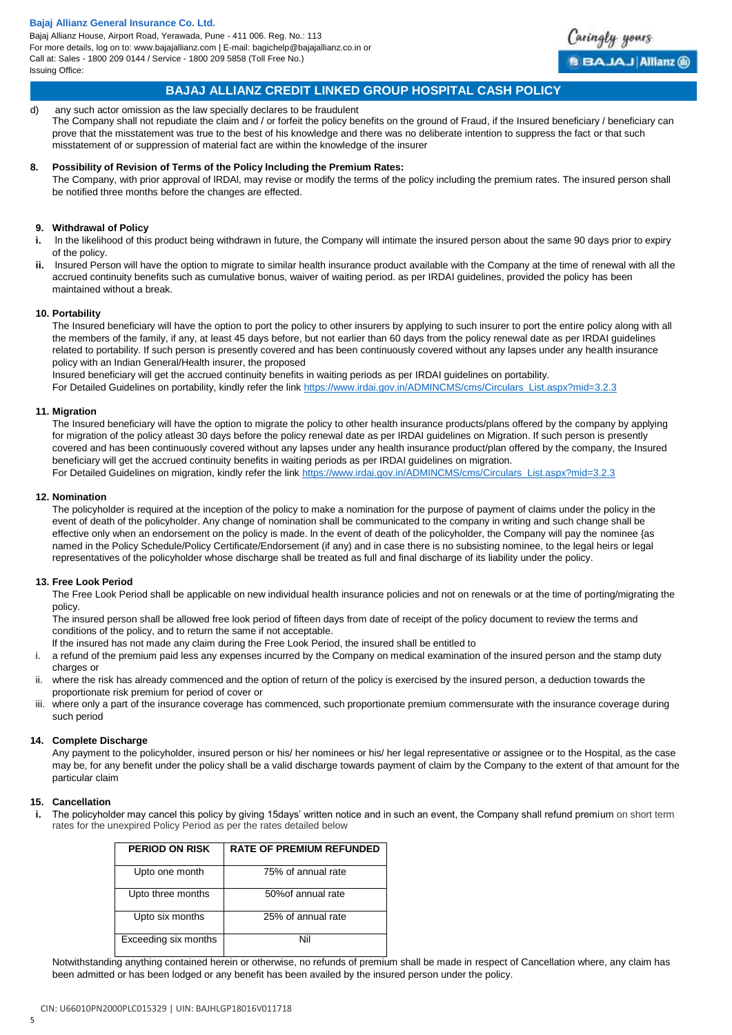Bajaj Allianz House, Airport Road, Yerawada, Pune - 411 006. Reg. No.: 113 For more details, log on to: www.bajajallianz.com | E-mail: bagichelp@bajajallianz.co.in or Call at: Sales - 1800 209 0144 / Service - 1800 209 5858 (Toll Free No.) Issuing Office:



# **BAJAJ ALLIANZ CREDIT LINKED GROUP HOSPITAL CASH POLICY**

d) any such actor omission as the law specially declares to be fraudulent The Company shall not repudiate the claim and / or forfeit the policy benefits on the ground of Fraud, if the Insured beneficiary / beneficiary can prove that the misstatement was true to the best of his knowledge and there was no deliberate intention to suppress the fact or that such misstatement of or suppression of material fact are within the knowledge of the insurer

## **8. Possibility of Revision of Terms of the Policy lncluding the Premium Rates:**

The Company, with prior approval of lRDAl, may revise or modify the terms of the policy including the premium rates. The insured person shall be notified three months before the changes are effected.

## **9. Withdrawal of Policy**

- **i.** In the likelihood of this product being withdrawn in future, the Company will intimate the insured person about the same 90 days prior to expiry of the policy.
- **ii.** Insured Person will have the option to migrate to similar health insurance product available with the Company at the time of renewal with all the accrued continuity benefits such as cumulative bonus, waiver of waiting period. as per IRDAI guidelines, provided the policy has been maintained without a break.

## **10. Portability**

The Insured beneficiary will have the option to port the policy to other insurers by applying to such insurer to port the entire policy along with all the members of the family, if any, at least 45 days before, but not earlier than 60 days from the policy renewal date as per IRDAI guidelines related to portability. If such person is presently covered and has been continuously covered without any lapses under any health insurance policy with an Indian General/Health insurer, the proposed

Insured beneficiary will get the accrued continuity benefits in waiting periods as per IRDAI guidelines on portability. For Detailed Guidelines on portability, kindly refer the link [https://www.irdai.gov.in/ADMINCMS/cms/Circulars\\_List.aspx?mid=3.2.3](https://www.irdai.gov.in/ADMINCMS/cms/Circulars_List.aspx?mid=3.2.3)

## **11. Migration**

The Insured beneficiary will have the option to migrate the policy to other health insurance products/plans offered by the company by applying for migration of the policy atleast 30 days before the policy renewal date as per IRDAI guidelines on Migration. If such person is presently covered and has been continuously covered without any lapses under any health insurance product/plan offered by the company, the Insured beneficiary will get the accrued continuity benefits in waiting periods as per IRDAI guidelines on migration.

For Detailed Guidelines on migration, kindly refer the link [https://www.irdai.gov.in/ADMINCMS/cms/Circulars\\_List.aspx?mid=3.2.3](https://www.irdai.gov.in/ADMINCMS/cms/Circulars_List.aspx?mid=3.2.3)

### **12. Nomination**

The policyholder is required at the inception of the policy to make a nomination for the purpose of payment of claims under the policy in the event of death of the policyholder. Any change of nomination shall be communicated to the company in writing and such change shall be effective only when an endorsement on the policy is made. ln the event of death of the policyholder, the Company will pay the nominee {as named in the Policy Schedule/Policy Certificate/Endorsement (if any) and in case there is no subsisting nominee, to the legal heirs or legal representatives of the policyholder whose discharge shall be treated as full and final discharge of its liability under the policy.

## **13. Free Look Period**

The Free Look Period shall be applicable on new individual health insurance policies and not on renewals or at the time of porting/migrating the policy.

The insured person shall be allowed free look period of fifteen days from date of receipt of the policy document to review the terms and conditions of the policy, and to return the same if not acceptable.

- lf the insured has not made any claim during the Free Look Period, the insured shall be entitled to
- i. a refund of the premium paid less any expenses incurred by the Company on medical examination of the insured person and the stamp duty charges or
- ii. where the risk has already commenced and the option of return of the policy is exercised by the insured person, a deduction towards the proportionate risk premium for period of cover or
- iii. where only a part of the insurance coverage has commenced, such proportionate premium commensurate with the insurance coverage during such period

## **14. Complete Discharge**

Any payment to the policyholder, insured person or his/ her nominees or his/ her legal representative or assignee or to the Hospital, as the case may be, for any benefit under the policy shall be a valid discharge towards payment of claim by the Company to the extent of that amount for the particular claim

#### **15. Cancellation**

5

**i.** The policyholder may cancel this policy by giving 15days' written notice and in such an event, the Company shall refund premium on short term rates for the unexpired Policy Period as per the rates detailed below

| <b>PERIOD ON RISK</b> | <b>RATE OF PREMIUM REFUNDED</b> |
|-----------------------|---------------------------------|
| Upto one month        | 75% of annual rate              |
| Upto three months     | 50% of annual rate              |
| Upto six months       | 25% of annual rate              |
| Exceeding six months  | Nii                             |

Notwithstanding anything contained herein or otherwise, no refunds of premium shall be made in respect of Cancellation where, any claim has been admitted or has been lodged or any benefit has been availed by the insured person under the policy.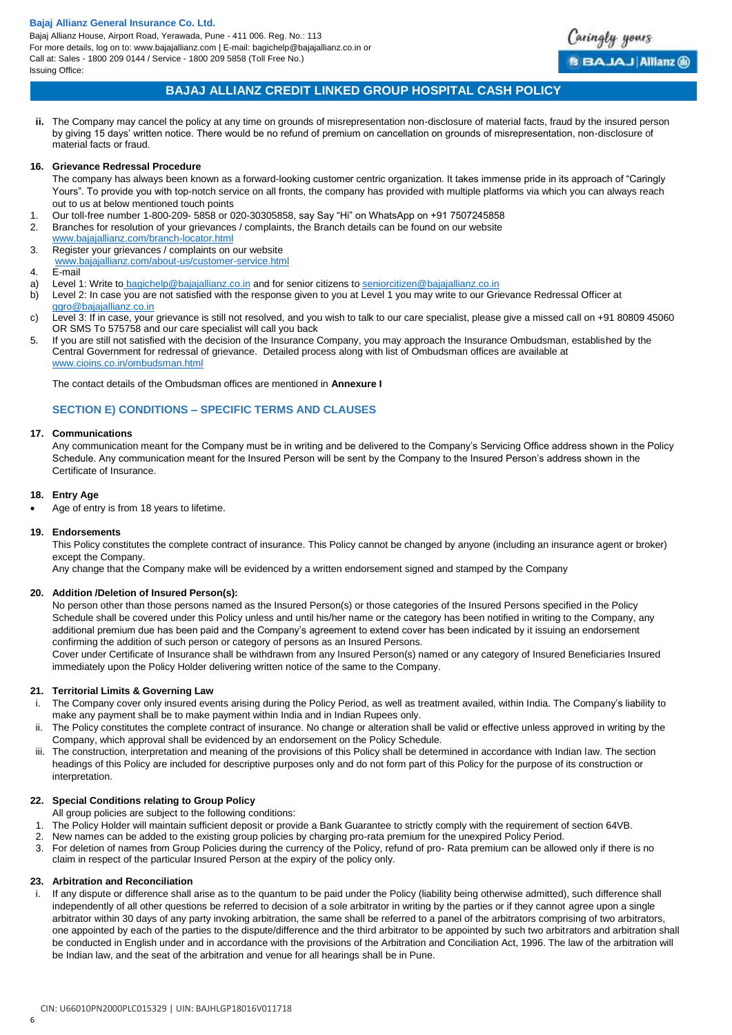Bajaj Allianz House, Airport Road, Yerawada, Pune - 411 006. Reg. No.: 113 For more details, log on to: www.bajajallianz.com | E-mail: bagichelp@bajajallianz.co.in or Call at: Sales - 1800 209 0144 / Service - 1800 209 5858 (Toll Free No.) Issuing Office:



# **BAJAJ ALLIANZ CREDIT LINKED GROUP HOSPITAL CASH POLICY**

**ii.** The Company may cancel the policy at any time on grounds of misrepresentation non-disclosure of material facts, fraud by the insured person by giving 15 days' written notice. There would be no refund of premium on cancellation on grounds of misrepresentation, non-disclosure of material facts or fraud.

#### **16. Grievance Redressal Procedure**

- The company has always been known as a forward-looking customer centric organization. It takes immense pride in its approach of "Caringly Yours". To provide you with top-notch service on all fronts, the company has provided with multiple platforms via which you can always reach out to us at below mentioned touch points
- 1. Our toll-free number 1-800-209- 5858 or 020-30305858, say Say "Hi" on WhatsApp on +91 7507245858
- 2. Branches for resolution of your grievances / complaints, the Branch details can be found on our website
- [www.bajajallianz.com/branch-locator.html](http://www.bajajallianz.com/branch-locator.html) 3. Register your grievances / complaints on our website
- [www.bajajallianz.com/about-us/customer-service.html](http://www.bajajallianz.com/about-us/customer-service.html)
- 4. E-mail
- a) Level 1: Write to [bagichelp@bajajallianz.co.in](mailto:bagichelp@bajajallianz.co.in) and for senior citizens to [seniorcitizen@bajajallianz.co.in](mailto:seniorcitizen@bajajallianz.co.in)
- b) Level 2: In case you are not satisfied with the response given to you at Level 1 you may write to our Grievance Redressal Officer at [ggro@bajajallianz.co.in](mailto:ggro@bajajallianz.co.in)
- c) Level 3: If in case, your grievance is still not resolved, and you wish to talk to our care specialist, please give a missed call on +91 80809 45060 OR SMS To 575758 and our care specialist will call you back
- 5. If you are still not satisfied with the decision of the Insurance Company, you may approach the Insurance Ombudsman, established by the Central Government for redressal of grievance. Detailed process along with list of Ombudsman offices are available at [www.cioins.co.in/ombudsman.html](http://www.cioins.co.in/ombudsman.html)

The contact details of the Ombudsman offices are mentioned in **Annexure I**

## **SECTION E) CONDITIONS – SPECIFIC TERMS AND CLAUSES**

#### **17. Communications**

Any communication meant for the Company must be in writing and be delivered to the Company's Servicing Office address shown in the Policy Schedule. Any communication meant for the Insured Person will be sent by the Company to the Insured Person's address shown in the Certificate of Insurance.

#### **18. Entry Age**

Age of entry is from 18 years to lifetime.

#### **19. Endorsements**

This Policy constitutes the complete contract of insurance. This Policy cannot be changed by anyone (including an insurance agent or broker) except the Company.

Any change that the Company make will be evidenced by a written endorsement signed and stamped by the Company

#### **20. Addition /Deletion of Insured Person(s):**

No person other than those persons named as the Insured Person(s) or those categories of the Insured Persons specified in the Policy Schedule shall be covered under this Policy unless and until his/her name or the category has been notified in writing to the Company, any additional premium due has been paid and the Company's agreement to extend cover has been indicated by it issuing an endorsement confirming the addition of such person or category of persons as an Insured Persons.

Cover under Certificate of Insurance shall be withdrawn from any Insured Person(s) named or any category of Insured Beneficiaries Insured immediately upon the Policy Holder delivering written notice of the same to the Company.

#### **21. Territorial Limits & Governing Law**

- i. The Company cover only insured events arising during the Policy Period, as well as treatment availed, within India. The Company's liability to make any payment shall be to make payment within India and in Indian Rupees only.
- The Policy constitutes the complete contract of insurance. No change or alteration shall be valid or effective unless approved in writing by the Company, which approval shall be evidenced by an endorsement on the Policy Schedule.
- The construction, interpretation and meaning of the provisions of this Policy shall be determined in accordance with Indian law. The section headings of this Policy are included for descriptive purposes only and do not form part of this Policy for the purpose of its construction or interpretation.

## **22. Special Conditions relating to Group Policy**

- All group policies are subject to the following conditions:
- 1. The Policy Holder will maintain sufficient deposit or provide a Bank Guarantee to strictly comply with the requirement of section 64VB.
- 2. New names can be added to the existing group policies by charging pro-rata premium for the unexpired Policy Period.
- 3. For deletion of names from Group Policies during the currency of the Policy, refund of pro- Rata premium can be allowed only if there is no claim in respect of the particular Insured Person at the expiry of the policy only.

#### **23. Arbitration and Reconciliation**

6

i. If any dispute or difference shall arise as to the quantum to be paid under the Policy (liability being otherwise admitted), such difference shall independently of all other questions be referred to decision of a sole arbitrator in writing by the parties or if they cannot agree upon a single arbitrator within 30 days of any party invoking arbitration, the same shall be referred to a panel of the arbitrators comprising of two arbitrators, one appointed by each of the parties to the dispute/difference and the third arbitrator to be appointed by such two arbitrators and arbitration shall be conducted in English under and in accordance with the provisions of the Arbitration and Conciliation Act, 1996. The law of the arbitration will be Indian law, and the seat of the arbitration and venue for all hearings shall be in Pune.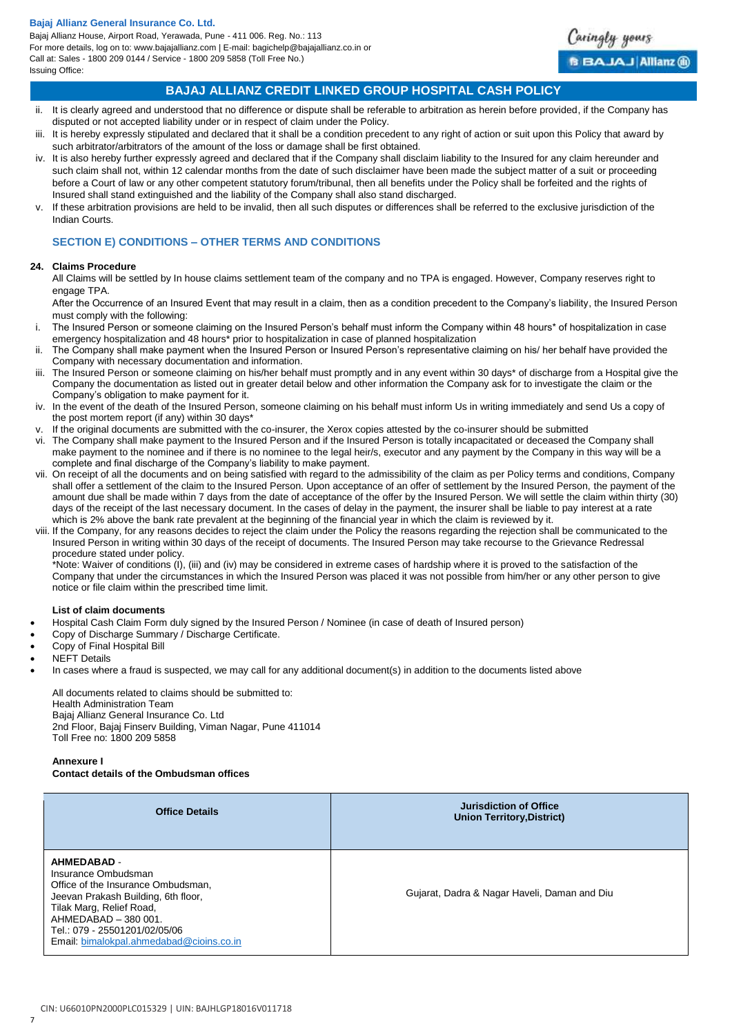Bajaj Allianz House, Airport Road, Yerawada, Pune - 411 006. Reg. No.: 113 For more details, log on to: www.bajajallianz.com | E-mail: bagichelp@bajajallianz.co.in or Call at: Sales - 1800 209 0144 / Service - 1800 209 5858 (Toll Free No.) Issuing Office:



# **BAJAJ ALLIANZ CREDIT LINKED GROUP HOSPITAL CASH POLICY**

- ii. It is clearly agreed and understood that no difference or dispute shall be referable to arbitration as herein before provided, if the Company has disputed or not accepted liability under or in respect of claim under the Policy.
- It is hereby expressly stipulated and declared that it shall be a condition precedent to any right of action or suit upon this Policy that award by such arbitrator/arbitrators of the amount of the loss or damage shall be first obtained.
- iv. It is also hereby further expressly agreed and declared that if the Company shall disclaim liability to the Insured for any claim hereunder and such claim shall not, within 12 calendar months from the date of such disclaimer have been made the subject matter of a suit or proceeding before a Court of law or any other competent statutory forum/tribunal, then all benefits under the Policy shall be forfeited and the rights of Insured shall stand extinguished and the liability of the Company shall also stand discharged.
- v. If these arbitration provisions are held to be invalid, then all such disputes or differences shall be referred to the exclusive jurisdiction of the Indian Courts.

## **SECTION E) CONDITIONS – OTHER TERMS AND CONDITIONS**

#### **24. Claims Procedure**

All Claims will be settled by In house claims settlement team of the company and no TPA is engaged. However, Company reserves right to engage TPA.

After the Occurrence of an Insured Event that may result in a claim, then as a condition precedent to the Company's liability, the Insured Person must comply with the following:

- i. The Insured Person or someone claiming on the Insured Person's behalf must inform the Company within 48 hours\* of hospitalization in case emergency hospitalization and 48 hours\* prior to hospitalization in case of planned hospitalization
- ii. The Company shall make payment when the Insured Person or Insured Person's representative claiming on his/ her behalf have provided the Company with necessary documentation and information.
- iii. The Insured Person or someone claiming on his/her behalf must promptly and in any event within 30 days\* of discharge from a Hospital give the Company the documentation as listed out in greater detail below and other information the Company ask for to investigate the claim or the Company's obligation to make payment for it.
- In the event of the death of the Insured Person, someone claiming on his behalf must inform Us in writing immediately and send Us a copy of the post mortem report (if any) within 30 days\*
- v. If the original documents are submitted with the co-insurer, the Xerox copies attested by the co-insurer should be submitted
- vi. The Company shall make payment to the Insured Person and if the Insured Person is totally incapacitated or deceased the Company shall make payment to the nominee and if there is no nominee to the legal heir/s, executor and any payment by the Company in this way will be a complete and final discharge of the Company's liability to make payment.
- vii. On receipt of all the documents and on being satisfied with regard to the admissibility of the claim as per Policy terms and conditions, Company shall offer a settlement of the claim to the Insured Person. Upon acceptance of an offer of settlement by the Insured Person, the payment of the amount due shall be made within 7 days from the date of acceptance of the offer by the Insured Person. We will settle the claim within thirty (30) days of the receipt of the last necessary document. In the cases of delay in the payment, the insurer shall be liable to pay interest at a rate which is 2% above the bank rate prevalent at the beginning of the financial year in which the claim is reviewed by it.
- viii. If the Company, for any reasons decides to reject the claim under the Policy the reasons regarding the rejection shall be communicated to the Insured Person in writing within 30 days of the receipt of documents. The Insured Person may take recourse to the Grievance Redressal procedure stated under policy.

\*Note: Waiver of conditions (I), (iii) and (iv) may be considered in extreme cases of hardship where it is proved to the satisfaction of the Company that under the circumstances in which the Insured Person was placed it was not possible from him/her or any other person to give notice or file claim within the prescribed time limit.

#### **List of claim documents**

- Hospital Cash Claim Form duly signed by the Insured Person / Nominee (in case of death of Insured person)
- Copy of Discharge Summary / Discharge Certificate.
- Copy of Final Hospital Bill
- NEFT Details

7

In cases where a fraud is suspected, we may call for any additional document(s) in addition to the documents listed above

All documents related to claims should be submitted to: Health Administration Team Bajaj Allianz General Insurance Co. Ltd 2nd Floor, Bajaj Finserv Building, Viman Nagar, Pune 411014 Toll Free no: 1800 209 5858

# **Annexure I Contact details of the Ombudsman offices**

| <b>Office Details</b>                                                                                                                                                                                                                            | Jurisdiction of Office<br>Union Territory, District) |
|--------------------------------------------------------------------------------------------------------------------------------------------------------------------------------------------------------------------------------------------------|------------------------------------------------------|
| AHMEDABAD -<br>Insurance Ombudsman<br>Office of the Insurance Ombudsman,<br>Jeevan Prakash Building, 6th floor,<br>Tilak Marg, Relief Road,<br>AHMEDABAD - 380 001.<br>Tel.: 079 - 25501201/02/05/06<br>Email: bimalokpal.ahmedabad@cioins.co.in | Gujarat, Dadra & Nagar Haveli, Daman and Diu         |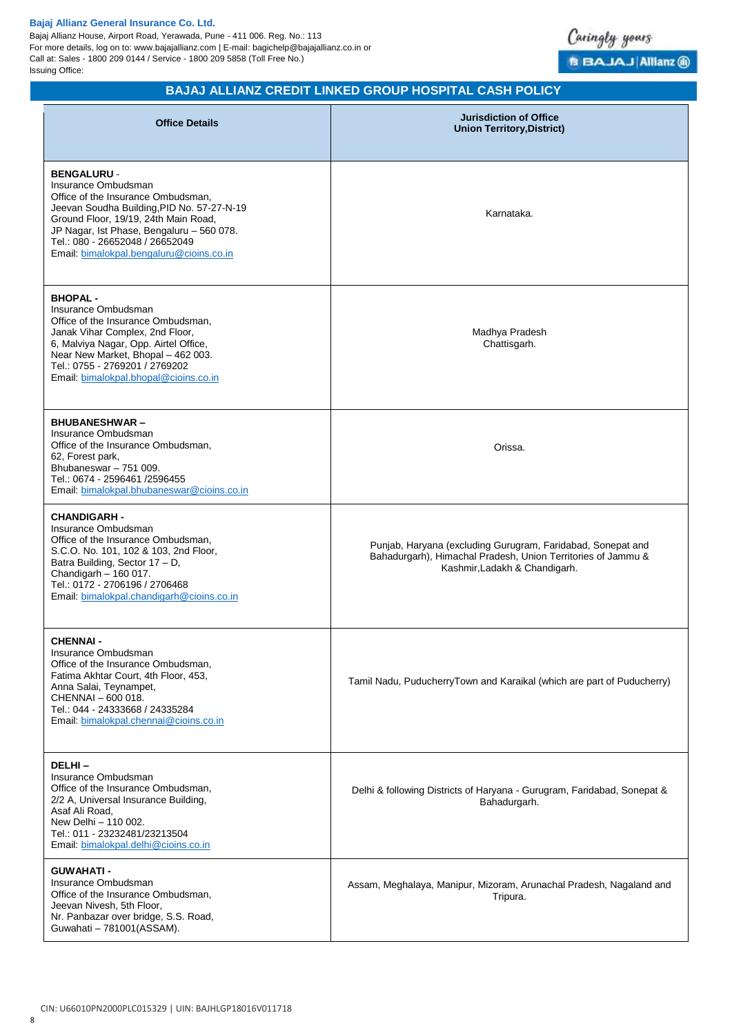Bajaj Allianz House, Airport Road, Yerawada, Pune - 411 006. Reg. No.: 113 For more details, log on to: www.bajajallianz.com | E-mail: bagichelp@bajajallianz.co.in or Call at: Sales - 1800 209 0144 / Service - 1800 209 5858 (Toll Free No.) Issuing Office:



# **BAJAJ ALLIANZ CREDIT LINKED GROUP HOSPITAL CASH POLICY**

| <b>Office Details</b>                                                                                                                                                                                                                                                                             | <b>Jurisdiction of Office</b><br><b>Union Territory, District)</b>                                                                                           |
|---------------------------------------------------------------------------------------------------------------------------------------------------------------------------------------------------------------------------------------------------------------------------------------------------|--------------------------------------------------------------------------------------------------------------------------------------------------------------|
| <b>BENGALURU -</b><br>Insurance Ombudsman<br>Office of the Insurance Ombudsman,<br>Jeevan Soudha Building, PID No. 57-27-N-19<br>Ground Floor, 19/19, 24th Main Road,<br>JP Nagar, Ist Phase, Bengaluru - 560 078.<br>Tel.: 080 - 26652048 / 26652049<br>Email: bimalokpal.bengaluru@cioins.co.in | Karnataka.                                                                                                                                                   |
| <b>BHOPAL -</b><br>Insurance Ombudsman<br>Office of the Insurance Ombudsman,<br>Janak Vihar Complex, 2nd Floor,<br>6, Malviya Nagar, Opp. Airtel Office,<br>Near New Market, Bhopal - 462 003.<br>Tel.: 0755 - 2769201 / 2769202<br>Email: bimalokpal.bhopal@cioins.co.in                         | Madhya Pradesh<br>Chattisgarh.                                                                                                                               |
| <b>BHUBANESHWAR-</b><br>Insurance Ombudsman<br>Office of the Insurance Ombudsman,<br>62, Forest park,<br>Bhubaneswar - 751 009.<br>Tel.: 0674 - 2596461 /2596455<br>Email: bimalokpal.bhubaneswar@cioins.co.in                                                                                    | Orissa.                                                                                                                                                      |
| <b>CHANDIGARH -</b><br>Insurance Ombudsman<br>Office of the Insurance Ombudsman,<br>S.C.O. No. 101, 102 & 103, 2nd Floor,<br>Batra Building, Sector 17 - D,<br>Chandigarh $-160017$ .<br>Tel.: 0172 - 2706196 / 2706468<br>Email: bimalokpal.chandigarh@cioins.co.in                              | Punjab, Haryana (excluding Gurugram, Faridabad, Sonepat and<br>Bahadurgarh), Himachal Pradesh, Union Territories of Jammu &<br>Kashmir, Ladakh & Chandigarh. |
| <b>CHENNAI -</b><br>Insurance Ombudsman<br>Office of the Insurance Ombudsman,<br>Fatima Akhtar Court, 4th Floor, 453,<br>Anna Salai, Teynampet,<br>CHENNAI - 600 018.<br>Tel.: 044 - 24333668 / 24335284<br>Email: bimalokpal.chennai@cioins.co.in                                                | Tamil Nadu, PuducherryTown and Karaikal (which are part of Puducherry)                                                                                       |
| DELHI-<br>Insurance Ombudsman<br>Office of the Insurance Ombudsman,<br>2/2 A, Universal Insurance Building,<br>Asaf Ali Road,<br>New Delhi - 110 002.<br>Tel.: 011 - 23232481/23213504<br>Email: bimalokpal.delhi@cioins.co.in                                                                    | Delhi & following Districts of Haryana - Gurugram, Faridabad, Sonepat &<br>Bahadurgarh.                                                                      |
| <b>GUWAHATI -</b><br>Insurance Ombudsman<br>Office of the Insurance Ombudsman,<br>Jeevan Nivesh, 5th Floor,<br>Nr. Panbazar over bridge, S.S. Road,<br>Guwahati - 781001(ASSAM).                                                                                                                  | Assam, Meghalaya, Manipur, Mizoram, Arunachal Pradesh, Nagaland and<br>Tripura.                                                                              |

8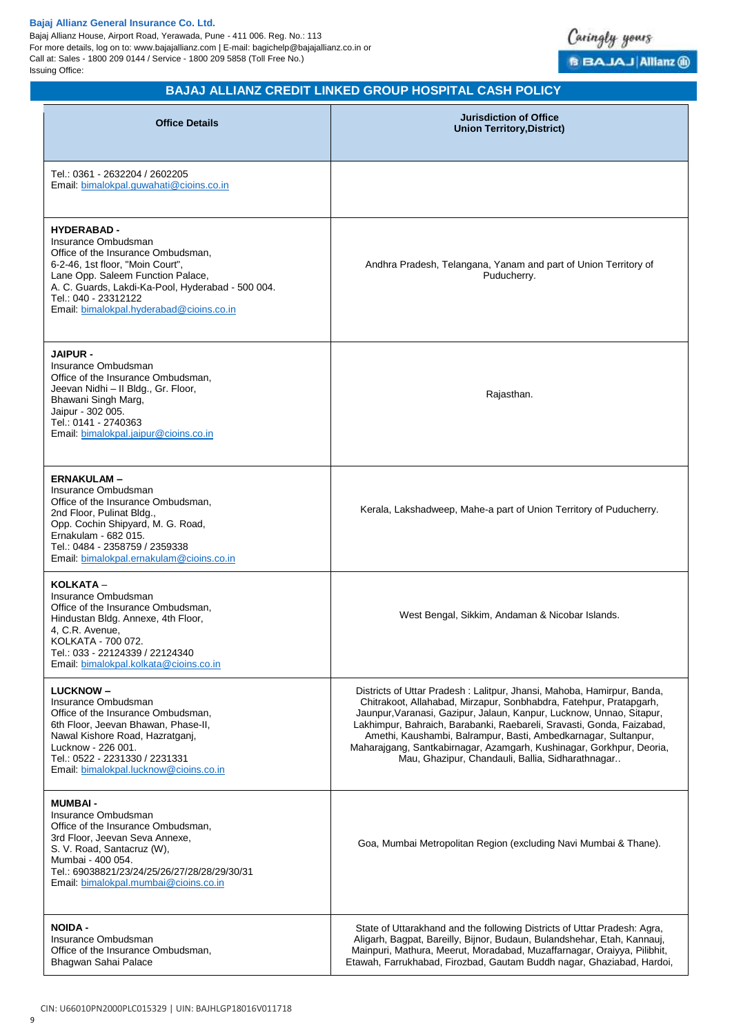Bajaj Allianz House, Airport Road, Yerawada, Pune - 411 006. Reg. No.: 113 For more details, log on to: www.bajajallianz.com | E-mail: bagichelp@bajajallianz.co.in or Call at: Sales - 1800 209 0144 / Service - 1800 209 5858 (Toll Free No.) Issuing Office:



# **BAJAJ ALLIANZ CREDIT LINKED GROUP HOSPITAL CASH POLICY**

| <b>Office Details</b>                                                                                                                                                                                                                                                             | <b>Jurisdiction of Office</b><br><b>Union Territory, District)</b>                                                                                                                                                                                                                                                                                                                                                                                                                          |
|-----------------------------------------------------------------------------------------------------------------------------------------------------------------------------------------------------------------------------------------------------------------------------------|---------------------------------------------------------------------------------------------------------------------------------------------------------------------------------------------------------------------------------------------------------------------------------------------------------------------------------------------------------------------------------------------------------------------------------------------------------------------------------------------|
| Tel.: 0361 - 2632204 / 2602205<br>Email: bimalokpal.guwahati@cioins.co.in                                                                                                                                                                                                         |                                                                                                                                                                                                                                                                                                                                                                                                                                                                                             |
| <b>HYDERABAD -</b><br>Insurance Ombudsman<br>Office of the Insurance Ombudsman,<br>6-2-46, 1st floor, "Moin Court",<br>Lane Opp. Saleem Function Palace,<br>A. C. Guards, Lakdi-Ka-Pool, Hyderabad - 500 004.<br>Tel.: 040 - 23312122<br>Email: bimalokpal.hyderabad@cioins.co.in | Andhra Pradesh, Telangana, Yanam and part of Union Territory of<br>Puducherry.                                                                                                                                                                                                                                                                                                                                                                                                              |
| <b>JAIPUR -</b><br>Insurance Ombudsman<br>Office of the Insurance Ombudsman.<br>Jeevan Nidhi - Il Bldg., Gr. Floor,<br>Bhawani Singh Marg,<br>Jaipur - 302 005.<br>Tel.: 0141 - 2740363<br>Email: bimalokpal.jaipur@cioins.co.in                                                  | Rajasthan.                                                                                                                                                                                                                                                                                                                                                                                                                                                                                  |
| <b>ERNAKULAM-</b><br>Insurance Ombudsman<br>Office of the Insurance Ombudsman,<br>2nd Floor, Pulinat Bldg.,<br>Opp. Cochin Shipyard, M. G. Road,<br>Ernakulam - 682 015.<br>Tel.: 0484 - 2358759 / 2359338<br>Email: bimalokpal.ernakulam@cioins.co.in                            | Kerala, Lakshadweep, Mahe-a part of Union Territory of Puducherry.                                                                                                                                                                                                                                                                                                                                                                                                                          |
| KOLKATA -<br>Insurance Ombudsman<br>Office of the Insurance Ombudsman.<br>Hindustan Bldg. Annexe, 4th Floor,<br>4, C.R. Avenue,<br>KOLKATA - 700 072.<br>Tel.: 033 - 22124339 / 22124340<br>Email: bimalokpal.kolkata@cioins.co.in                                                | West Bengal, Sikkim, Andaman & Nicobar Islands.                                                                                                                                                                                                                                                                                                                                                                                                                                             |
| <b>LUCKNOW-</b><br>Insurance Ombudsman<br>Office of the Insurance Ombudsman,<br>6th Floor, Jeevan Bhawan, Phase-II,<br>Nawal Kishore Road, Hazratganj,<br>Lucknow - 226 001.<br>Tel.: 0522 - 2231330 / 2231331<br>Email: bimalokpal.lucknow@cioins.co.in                          | Districts of Uttar Pradesh: Lalitpur, Jhansi, Mahoba, Hamirpur, Banda,<br>Chitrakoot, Allahabad, Mirzapur, Sonbhabdra, Fatehpur, Pratapgarh,<br>Jaunpur, Varanasi, Gazipur, Jalaun, Kanpur, Lucknow, Unnao, Sitapur,<br>Lakhimpur, Bahraich, Barabanki, Raebareli, Sravasti, Gonda, Faizabad,<br>Amethi, Kaushambi, Balrampur, Basti, Ambedkarnagar, Sultanpur,<br>Maharajgang, Santkabirnagar, Azamgarh, Kushinagar, Gorkhpur, Deoria,<br>Mau, Ghazipur, Chandauli, Ballia, Sidharathnagar |
| <b>MUMBAI-</b><br>Insurance Ombudsman<br>Office of the Insurance Ombudsman,<br>3rd Floor, Jeevan Seva Annexe,<br>S. V. Road, Santacruz (W),<br>Mumbai - 400 054.<br>Tel.: 69038821/23/24/25/26/27/28/28/29/30/31<br>Email: bimalokpal.mumbai@cioins.co.in                         | Goa, Mumbai Metropolitan Region (excluding Navi Mumbai & Thane).                                                                                                                                                                                                                                                                                                                                                                                                                            |
| <b>NOIDA -</b><br>Insurance Ombudsman<br>Office of the Insurance Ombudsman,<br>Bhagwan Sahai Palace                                                                                                                                                                               | State of Uttarakhand and the following Districts of Uttar Pradesh: Agra,<br>Aligarh, Bagpat, Bareilly, Bijnor, Budaun, Bulandshehar, Etah, Kannauj,<br>Mainpuri, Mathura, Meerut, Moradabad, Muzaffarnagar, Oraiyya, Pilibhit,<br>Etawah, Farrukhabad, Firozbad, Gautam Buddh nagar, Ghaziabad, Hardoi,                                                                                                                                                                                     |